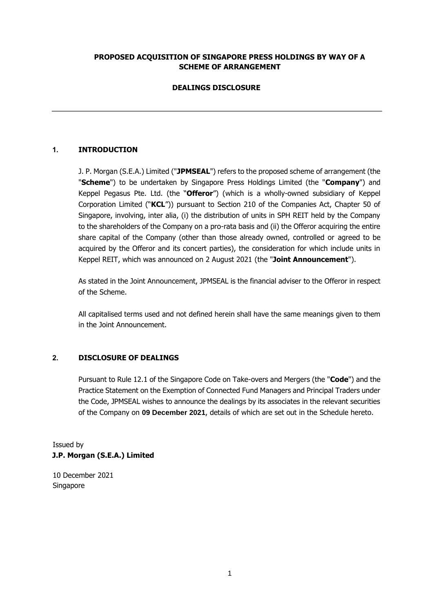### **PROPOSED ACQUISITION OF SINGAPORE PRESS HOLDINGS BY WAY OF A SCHEME OF ARRANGEMENT**

# **DEALINGS DISCLOSURE**

# **1. INTRODUCTION**

J. P. Morgan (S.E.A.) Limited ("**JPMSEAL**") refers to the proposed scheme of arrangement (the "**Scheme**") to be undertaken by Singapore Press Holdings Limited (the "**Company**") and Keppel Pegasus Pte. Ltd. (the "**Offeror**") (which is a wholly-owned subsidiary of Keppel Corporation Limited ("**KCL**")) pursuant to Section 210 of the Companies Act, Chapter 50 of Singapore, involving, inter alia, (i) the distribution of units in SPH REIT held by the Company to the shareholders of the Company on a pro-rata basis and (ii) the Offeror acquiring the entire share capital of the Company (other than those already owned, controlled or agreed to be acquired by the Offeror and its concert parties), the consideration for which include units in Keppel REIT, which was announced on 2 August 2021 (the "**Joint Announcement**").

As stated in the Joint Announcement, JPMSEAL is the financial adviser to the Offeror in respect of the Scheme.

All capitalised terms used and not defined herein shall have the same meanings given to them in the Joint Announcement.

### **2. DISCLOSURE OF DEALINGS**

Pursuant to Rule 12.1 of the Singapore Code on Take-overs and Mergers (the "**Code**") and the Practice Statement on the Exemption of Connected Fund Managers and Principal Traders under the Code, JPMSEAL wishes to announce the dealings by its associates in the relevant securities of the Company on **09 December 2021**, details of which are set out in the Schedule hereto.

Issued by **J.P. Morgan (S.E.A.) Limited** 

10 December 2021 Singapore